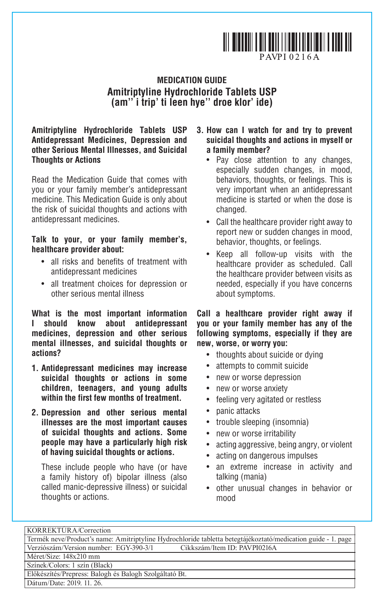

## **MEDICATION GUIDE Amitriptyline Hydrochloride Tablets USP (am'' i trip' ti leen hye'' droe klor' ide)**

**Amitriptyline Hydrochloride Tablets USP Antidepressant Medicines, Depression and other Serious Mental Illnesses, and Suicidal Thoughts or Actions** 

Read the Medication Guide that comes with you or your family member's antidepressant medicine. This Medication Guide is only about the risk of suicidal thoughts and actions with antidepressant medicines.

### **Talk to your, or your family member's, healthcare provider about:**

- • all risks and benefits of treatment with antidepressant medicines
- • all treatment choices for depression or other serious mental illness

**What is the most important information I should know about antidepressant medicines, depression and other serious mental illnesses, and suicidal thoughts or actions?**

- **1. Antidepressant medicines may increase suicidal thoughts or actions in some children, teenagers, and young adults within the first few months of treatment.**
- **2. Depression and other serious mental illnesses are the most important causes of suicidal thoughts and actions. Some people may have a particularly high risk of having suicidal thoughts or actions.**

These include people who have (or have a family history of) bipolar illness (also called manic-depressive illness) or suicidal thoughts or actions.

### **3. How can I watch for and try to prevent suicidal thoughts and actions in myself or a family member?**

- • Pay close attention to any changes, especially sudden changes, in mood, behaviors, thoughts, or feelings. This is very important when an antidepressant medicine is started or when the dose is changed.
- Call the healthcare provider right away to report new or sudden changes in mood, behavior, thoughts, or feelings.
- • Keep all follow-up visits with the healthcare provider as scheduled. Call the healthcare provider between visits as needed, especially if you have concerns about symptoms.

#### **Call a healthcare provider right away if you or your family member has any of the following symptoms, especially if they are new, worse, or worry you:**

- thoughts about suicide or dying
- attempts to commit suicide
- new or worse depression
- new or worse anxiety
- feeling very agitated or restless
- panic attacks
- trouble sleeping (insomnia)
- new or worse irritability
- acting aggressive, being angry, or violent
- acting on dangerous impulses
- an extreme increase in activity and talking (mania)
- • other unusual changes in behavior or mood

| KORREKTURA/Correction                                                                                        |
|--------------------------------------------------------------------------------------------------------------|
| Termék neve/Product's name: Amitriptyline Hydrochloride tabletta betegtájékoztató/medication guide - 1. page |
| Verziószám/Version number: EGY-390-3/1<br>Cikkszám/Item ID: PAVPI0216A                                       |
| Méret/Size: 148x210 mm                                                                                       |
| Színek/Colors: 1 szín (Black)                                                                                |
| Előkészítés/Prepress: Balogh és Balogh Szolgáltató Bt.                                                       |
| Dátum/Date: 2019. 11. 26.                                                                                    |